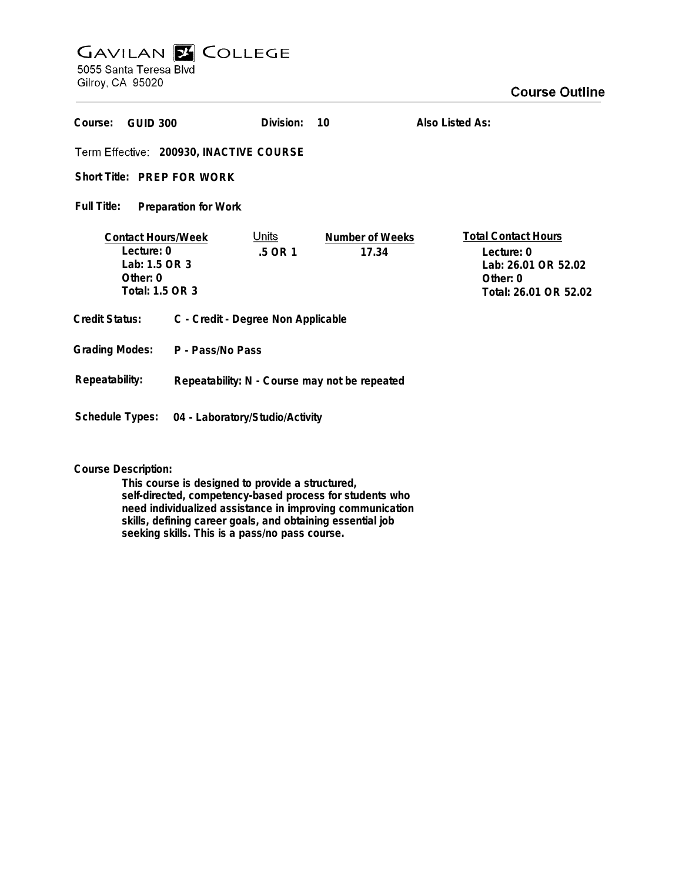# **GAVILAN E COLLEGE**

5055 Santa Teresa Blvd Gilroy, CA 95020

| Course:<br><b>GUID 300</b>                                                                |                                               | Division:               | 10                              | Also Listed As:                                                                                      |
|-------------------------------------------------------------------------------------------|-----------------------------------------------|-------------------------|---------------------------------|------------------------------------------------------------------------------------------------------|
| Term Effective: 200930, INACTIVE COURSE                                                   |                                               |                         |                                 |                                                                                                      |
| Short Title: PREP FOR WORK                                                                |                                               |                         |                                 |                                                                                                      |
| Full Title:<br><b>Preparation for Work</b>                                                |                                               |                         |                                 |                                                                                                      |
| <b>Contact Hours/Week</b><br>Lecture: 0<br>Lab: 1.5 OR 3<br>Other: $0$<br>Total: 1.5 OR 3 |                                               | <u>Units</u><br>.5 OR 1 | <b>Number of Weeks</b><br>17.34 | <b>Total Contact Hours</b><br>Lecture: 0<br>Lab: 26.01 OR 52.02<br>Other: 0<br>Total: 26.01 OR 52.02 |
| <b>Credit Status:</b>                                                                     | C - Credit - Degree Non Applicable            |                         |                                 |                                                                                                      |
| <b>Grading Modes:</b>                                                                     | P - Pass/No Pass                              |                         |                                 |                                                                                                      |
| Repeatability:                                                                            | Repeatability: N - Course may not be repeated |                         |                                 |                                                                                                      |
| <b>Schedule Types:</b><br>04 - Laboratory/Studio/Activity                                 |                                               |                         |                                 |                                                                                                      |

## **Course Description:**

**This course is designed to provide a structured, self-directed, competency-based process for students who need individualized assistance in improving communication skills, defining career goals, and obtaining essential job seeking skills. This is a pass/no pass course.**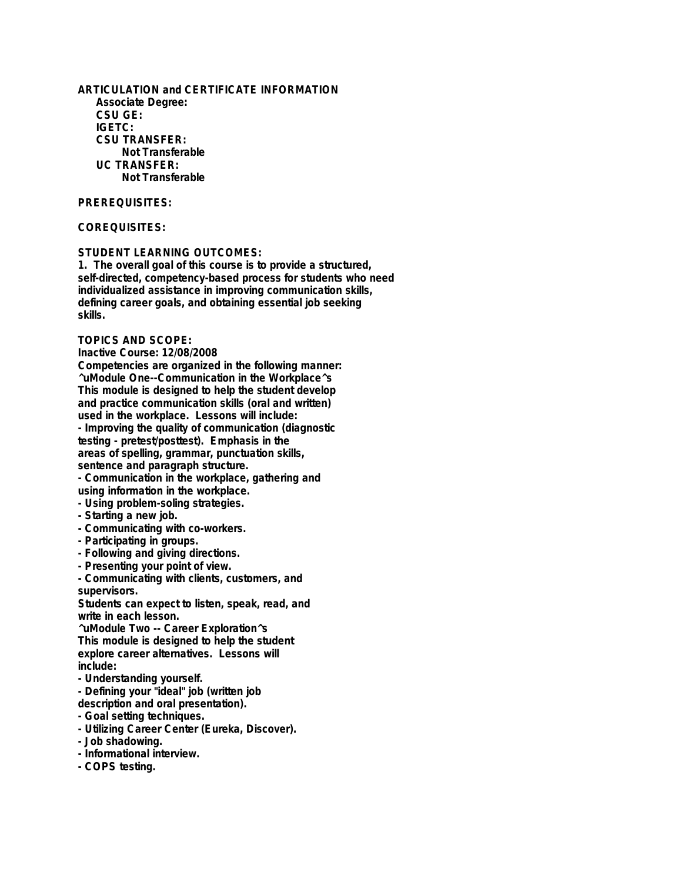**ARTICULATION and CERTIFICATE INFORMATION Associate Degree: CSU GE: IGETC: CSU TRANSFER: Not Transferable UC TRANSFER: Not Transferable**

### **PREREQUISITES:**

## **COREQUISITES:**

#### **STUDENT LEARNING OUTCOMES:**

**1. The overall goal of this course is to provide a structured, self-directed, competency-based process for students who need individualized assistance in improving communication skills, defining career goals, and obtaining essential job seeking skills.**

#### **TOPICS AND SCOPE:**

**Inactive Course: 12/08/2008**

**Competencies are organized in the following manner: ^uModule One--Communication in the Workplace^s This module is designed to help the student develop and practice communication skills (oral and written) used in the workplace. Lessons will include: - Improving the quality of communication (diagnostic testing - pretest/posttest). Emphasis in the areas of spelling, grammar, punctuation skills, sentence and paragraph structure.**

**- Communication in the workplace, gathering and using information in the workplace.**

- **Using problem-soling strategies.**
- **Starting a new job.**
- **Communicating with co-workers.**
- **Participating in groups.**
- **Following and giving directions.**
- **Presenting your point of view.**

**- Communicating with clients, customers, and supervisors.**

**Students can expect to listen, speak, read, and write in each lesson.**

**^uModule Two -- Career Exploration^s This module is designed to help the student explore career alternatives. Lessons will include:**

**- Understanding yourself.**

**- Defining your "ideal" job (written job description and oral presentation).**

- **Goal setting techniques.**
- **Utilizing Career Center (Eureka, Discover).**
- **Job shadowing.**
- **Informational interview.**
- **COPS testing.**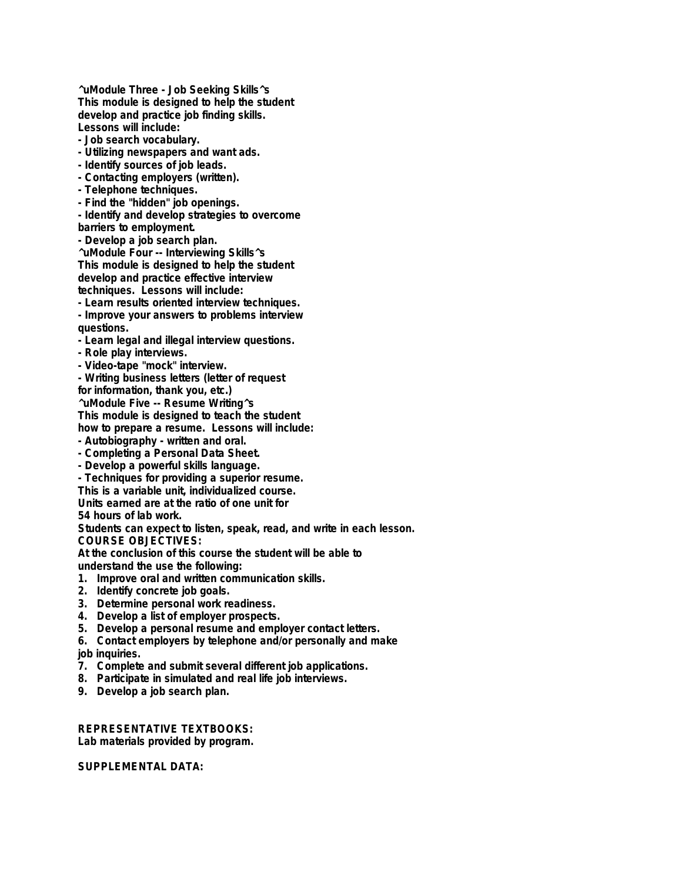**^uModule Three - Job Seeking Skills^s This module is designed to help the student develop and practice job finding skills. Lessons will include:**

- **Job search vocabulary.**
- **Utilizing newspapers and want ads.**
- **Identify sources of job leads.**
- **Contacting employers (written).**
- **Telephone techniques.**
- **Find the "hidden" job openings.**

**- Identify and develop strategies to overcome**

**barriers to employment.**

**- Develop a job search plan.**

**^uModule Four -- Interviewing Skills^s This module is designed to help the student develop and practice effective interview techniques. Lessons will include:**

**- Learn results oriented interview techniques.**

**- Improve your answers to problems interview questions.**

- **Learn legal and illegal interview questions.**
- **Role play interviews.**
- **Video-tape "mock" interview.**

**- Writing business letters (letter of request for information, thank you, etc.)**

**^uModule Five -- Resume Writing^s**

**This module is designed to teach the student**

**how to prepare a resume. Lessons will include:**

- **Autobiography written and oral.**
- **Completing a Personal Data Sheet.**
- **Develop a powerful skills language.**

**- Techniques for providing a superior resume.**

**This is a variable unit, individualized course.**

**Units earned are at the ratio of one unit for 54 hours of lab work.**

**Students can expect to listen, speak, read, and write in each lesson. COURSE OBJECTIVES:**

**At the conclusion of this course the student will be able to understand the use the following:**

- **1. Improve oral and written communication skills.**
- **2. Identify concrete job goals.**
- **3. Determine personal work readiness.**
- **4. Develop a list of employer prospects.**
- **5. Develop a personal resume and employer contact letters.**
- **6. Contact employers by telephone and/or personally and make**

**job inquiries.**

- **7. Complete and submit several different job applications.**
- **8. Participate in simulated and real life job interviews.**
- **9. Develop a job search plan.**

**REPRESENTATIVE TEXTBOOKS: Lab materials provided by program.**

**SUPPLEMENTAL DATA:**